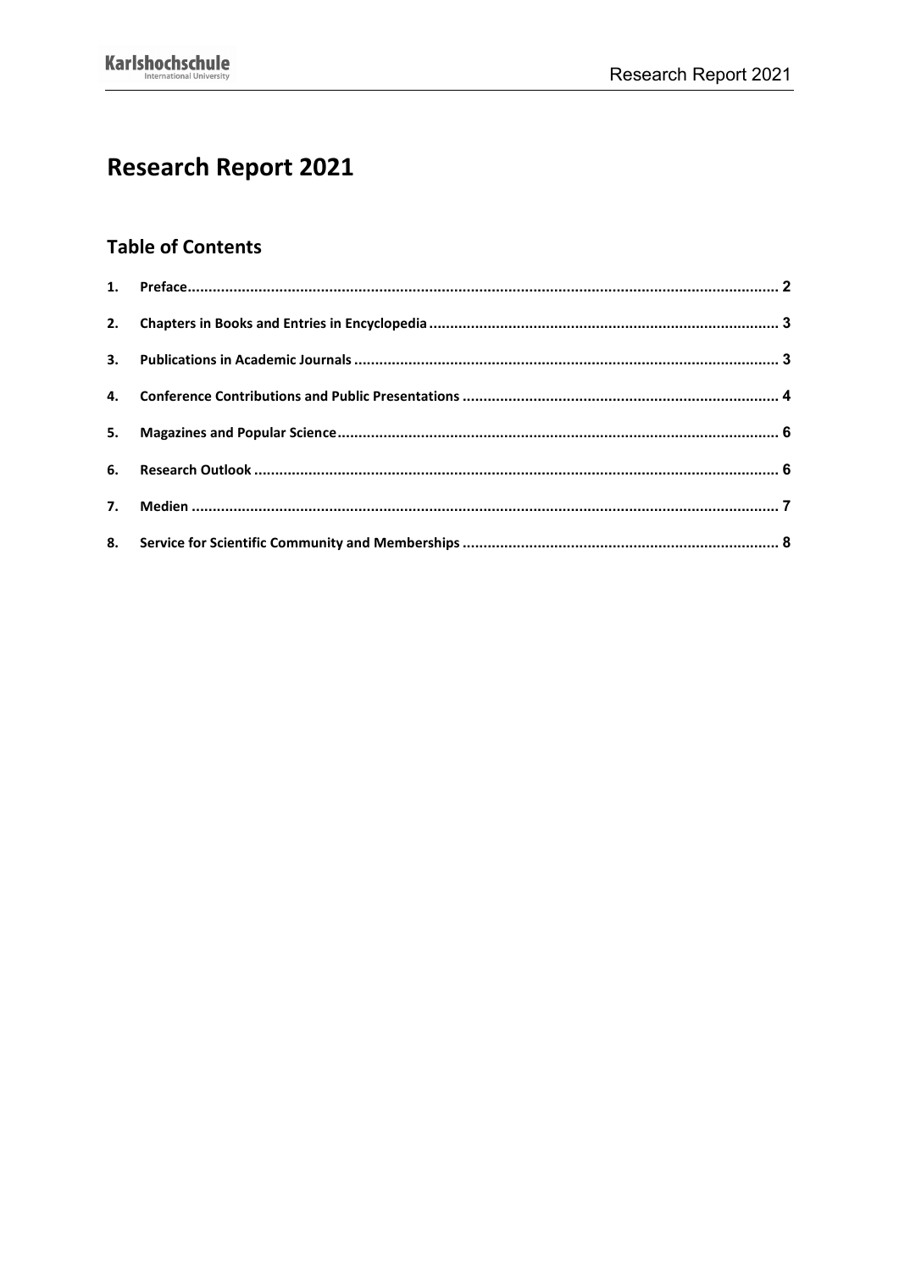# **Research Report 2021**

# **Table of Contents**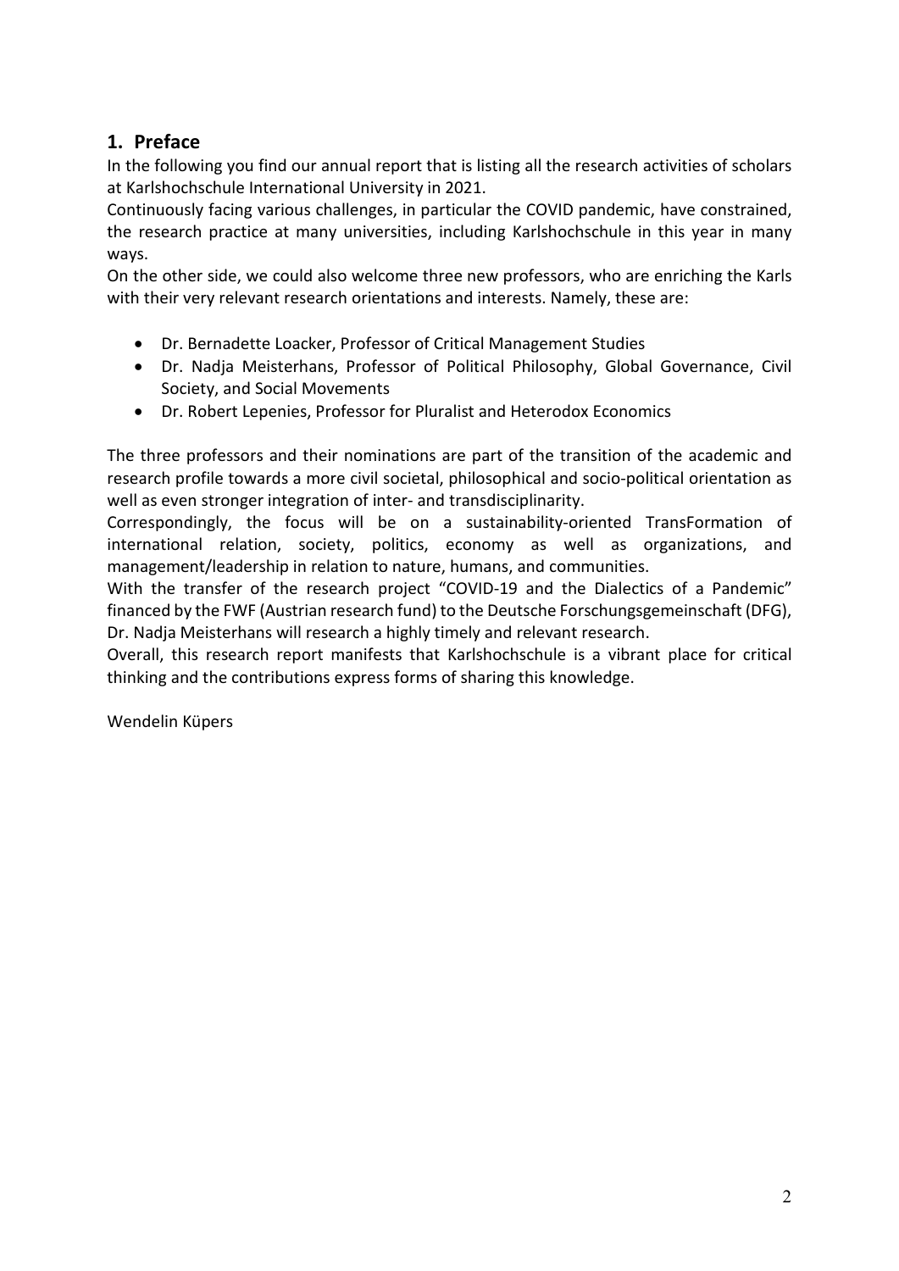# <span id="page-1-0"></span>**1. Preface**

In the following you find our annual report that is listing all the research activities of scholars at Karlshochschule International University in 2021.

Continuously facing various challenges, in particular the COVID pandemic, have constrained, the research practice at many universities, including Karlshochschule in this year in many ways.

On the other side, we could also welcome three new professors, who are enriching the Karls with their very relevant research orientations and interests. Namely, these are:

- Dr. Bernadette Loacker, Professor of Critical Management Studies
- Dr. Nadja Meisterhans, Professor of Political Philosophy, Global Governance, Civil Society, and Social Movements
- Dr. Robert Lepenies, Professor for Pluralist and Heterodox Economics

The three professors and their nominations are part of the transition of the academic and research profile towards a more civil societal, philosophical and socio-political orientation as well as even stronger integration of inter- and transdisciplinarity.

Correspondingly, the focus will be on a sustainability-oriented TransFormation of international relation, society, politics, economy as well as organizations, and management/leadership in relation to nature, humans, and communities.

With the transfer of the research project "COVID-19 and the Dialectics of a Pandemic" financed by the FWF (Austrian research fund) to the Deutsche Forschungsgemeinschaft (DFG), Dr. Nadja Meisterhans will research a highly timely and relevant research.

Overall, this research report manifests that Karlshochschule is a vibrant place for critical thinking and the contributions express forms of sharing this knowledge.

Wendelin Küpers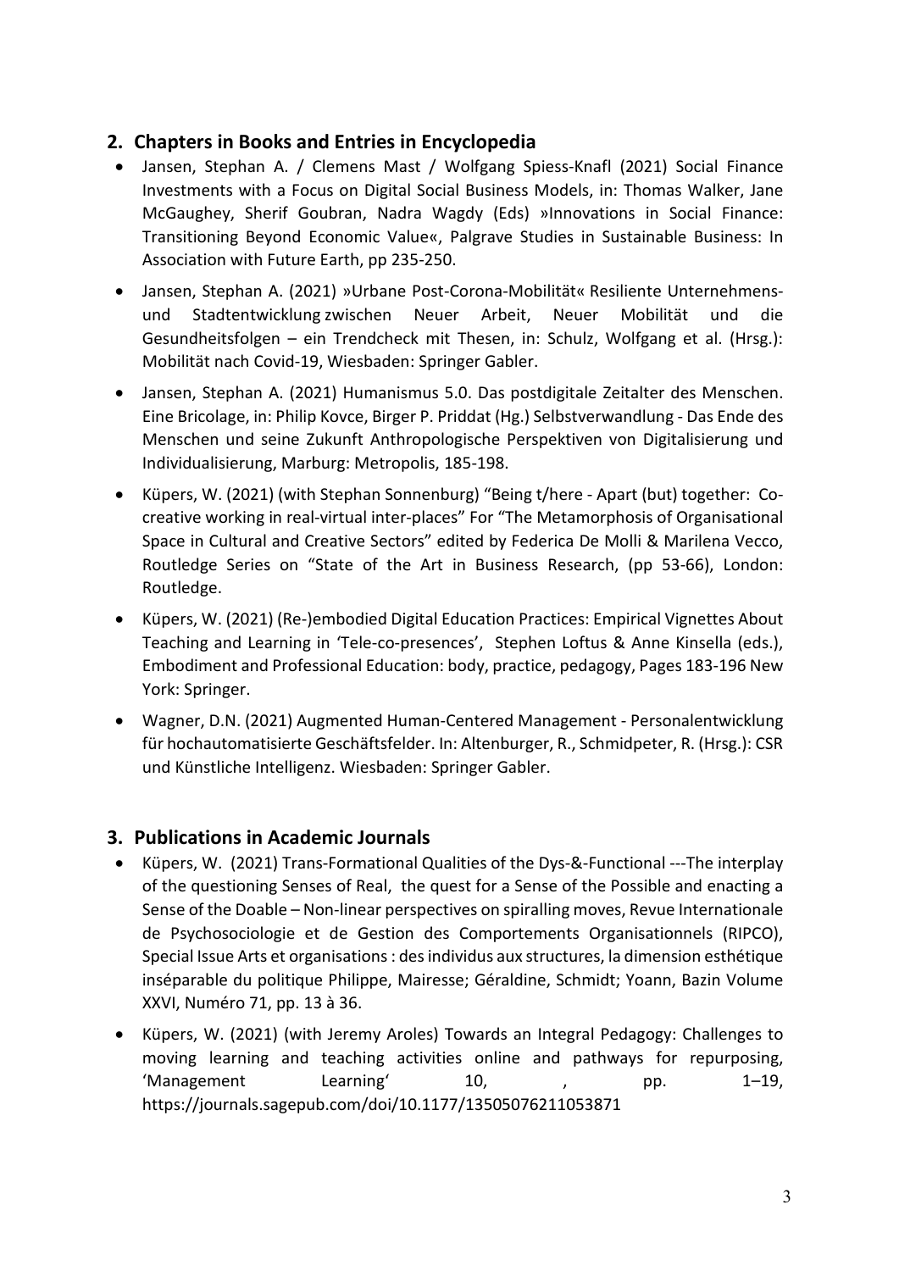# <span id="page-2-0"></span>**2. Chapters in Books and Entries in Encyclopedia**

- Jansen, Stephan A. / Clemens Mast / Wolfgang Spiess-Knafl (2021) Social Finance Investments with a Focus on Digital Social Business Models, in: Thomas Walker, Jane McGaughey, Sherif Goubran, Nadra Wagdy (Eds) »Innovations in Social Finance: Transitioning Beyond Economic Value«, Palgrave Studies in Sustainable Business: In Association with Future Earth, pp 235-250.
- Jansen, Stephan A. (2021) »Urbane Post-Corona-Mobilität« Resiliente Unternehmensund Stadtentwicklung zwischen Neuer Arbeit, Neuer Mobilität und die Gesundheitsfolgen – ein Trendcheck mit Thesen, in: Schulz, Wolfgang et al. (Hrsg.): Mobilität nach Covid-19, Wiesbaden: Springer Gabler.
- Jansen, Stephan A. (2021) Humanismus 5.0. Das postdigitale Zeitalter des Menschen. Eine Bricolage, in: Philip Kovce, Birger P. Priddat (Hg.) Selbstverwandlung - Das Ende des Menschen und seine Zukunft Anthropologische Perspektiven von Digitalisierung und Individualisierung, Marburg: Metropolis, 185-198.
- Küpers, W. (2021) (with Stephan Sonnenburg) "Being t/here Apart (but) together: Cocreative working in real-virtual inter-places" For "The Metamorphosis of Organisational Space in Cultural and Creative Sectors" edited by Federica De Molli & Marilena Vecco, Routledge Series on "State of the Art in Business Research, (pp 53-66), London: Routledge.
- Küpers, W. (2021[\) \(Re-\)embodied Digital Education Practices: Empirical Vignettes About](https://link.springer.com/chapter/10.1007/978-981-16-4827-4_13)  [Teaching and Learning in 'Tele-co-presences',](https://link.springer.com/chapter/10.1007/978-981-16-4827-4_13) Stephen Loftus & Anne Kinsella (eds.), Embodiment and Professional Education: body, practice, pedagogy, Pages 183-196 New York: Springer.
- Wagner, D.N. (2021) Augmented Human-Centered Management Personalentwicklung für hochautomatisierte Geschäftsfelder. In: Altenburger, R., Schmidpeter, R. (Hrsg.): CSR und Künstliche Intelligenz. Wiesbaden: Springer Gabler.

## <span id="page-2-1"></span>**3. Publications in Academic Journals**

- Küpers, W. (2021) Trans-Formational Qualities of the Dys-&-Functional ---The interplay of the questioning Senses of Real, the quest for a Sense of the Possible and enacting a Sense of the Doable – Non-linear perspectives on spiralling moves, Revue Internationale de Psychosociologie et de Gestion des Comportements Organisationnels (RIPCO), Special Issue Arts et organisations : des individus aux structures, la dimension esthétique inséparable du politique Philippe, Mairesse; Géraldine, Schmidt; Yoann, Bazin Volume XXVI, Numéro 71, pp. 13 à 36.
- Küpers, W. (2021) (with Jeremy Aroles) Towards an Integral Pedagogy: Challenges to moving learning and teaching activities online and pathways for repurposing, 'Management Learning' 10, , pp. 1–19, <https://journals.sagepub.com/doi/10.1177/13505076211053871>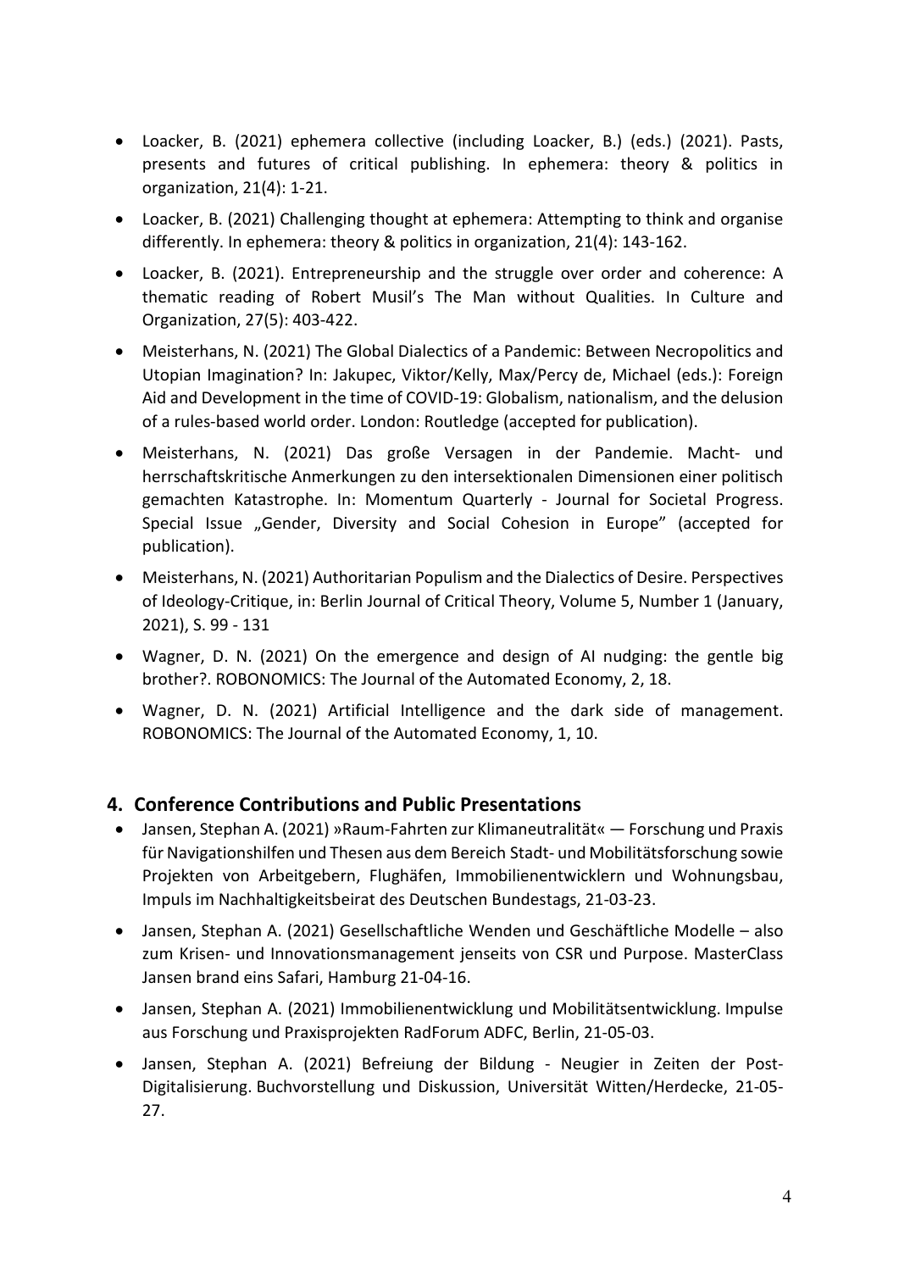- Loacker, B. (2021) ephemera collective (including Loacker, B.) (eds.) (2021). Pasts, presents and futures of critical publishing. In ephemera: theory & politics in organization, 21(4): 1-21.
- Loacker, B. (2021) Challenging thought at ephemera: Attempting to think and organise differently. In ephemera: theory & politics in organization, 21(4): 143-162.
- Loacker, B. (2021). Entrepreneurship and the struggle over order and coherence: A thematic reading of Robert Musil's The Man without Qualities. In Culture and Organization, 27(5): 403-422.
- Meisterhans, N. (2021) The Global Dialectics of a Pandemic: Between Necropolitics and Utopian Imagination? In: Jakupec, Viktor/Kelly, Max/Percy de, Michael (eds.): Foreign Aid and Development in the time of COVID-19: Globalism, nationalism, and the delusion of a rules-based world order. London: Routledge (accepted for publication).
- Meisterhans, N. (2021) Das große Versagen in der Pandemie. Macht- und herrschaftskritische Anmerkungen zu den intersektionalen Dimensionen einer politisch gemachten Katastrophe. In: Momentum Quarterly - Journal for Societal Progress. Special Issue "Gender, Diversity and Social Cohesion in Europe" (accepted for publication).
- Meisterhans, N. (2021) Authoritarian Populism and the Dialectics of Desire. Perspectives of Ideology-Critique, in: Berlin Journal of Critical Theory, Volume 5, Number 1 (January, 2021), S. 99 - 131
- Wagner, D. N. (2021) On the emergence and design of AI nudging: the gentle big brother?. ROBONOMICS: The Journal of the Automated Economy, 2, 18.
- Wagner, D. N. (2021) Artificial Intelligence and the dark side of management. ROBONOMICS: The Journal of the Automated Economy, 1, 10.

# <span id="page-3-0"></span>**4. Conference Contributions and Public Presentations**

- Jansen, Stephan A. (2021) »Raum-Fahrten zur Klimaneutralität« Forschung und Praxis für Navigationshilfen und Thesen aus dem Bereich Stadt- und Mobilitätsforschung sowie Projekten von Arbeitgebern, Flughäfen, Immobilienentwicklern und Wohnungsbau, Impuls im Nachhaltigkeitsbeirat des Deutschen Bundestags, 21-03-23.
- Jansen, Stephan A. (2021) Gesellschaftliche Wenden und Geschäftliche Modelle also zum Krisen- und Innovationsmanagement jenseits von CSR und Purpose. MasterClass Jansen brand eins Safari, Hamburg 21-04-16.
- Jansen, Stephan A. (2021) Immobilienentwicklung und Mobilitätsentwicklung. Impulse aus Forschung und Praxisprojekten RadForum ADFC, Berlin, 21-05-03.
- Jansen, Stephan A. (2021) Befreiung der Bildung Neugier in Zeiten der Post-Digitalisierung. Buchvorstellung und Diskussion, Universität Witten/Herdecke, 21-05- 27.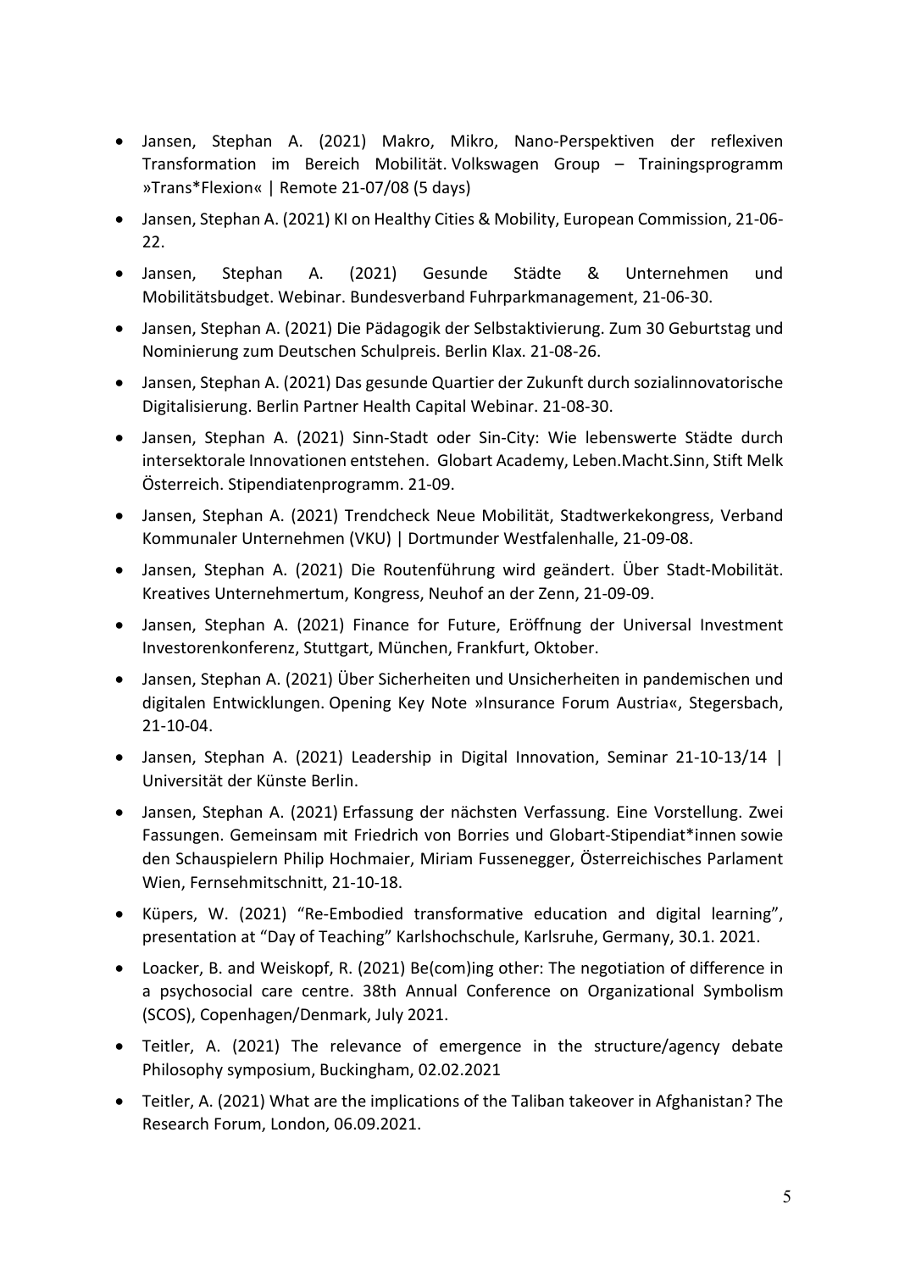- Jansen, Stephan A. (2021) Makro, Mikro, Nano-Perspektiven der reflexiven Transformation im Bereich Mobilität. Volkswagen Group – Trainingsprogramm »Trans\*Flexion« | Remote 21-07/08 (5 days)
- Jansen, Stephan A. (2021) KI on Healthy Cities & Mobility, European Commission, 21-06- 22.
- Jansen, Stephan A. (2021) Gesunde Städte & Unternehmen und Mobilitätsbudget. Webinar. Bundesverband Fuhrparkmanagement, 21-06-30.
- Jansen, Stephan A. (2021) Die Pädagogik der Selbstaktivierung. Zum 30 Geburtstag und Nominierung zum Deutschen Schulpreis. Berlin Klax. 21-08-26.
- Jansen, Stephan A. (2021) Das gesunde Quartier der Zukunft durch sozialinnovatorische Digitalisierung. Berlin Partner Health Capital Webinar. 21-08-30.
- Jansen, Stephan A. (2021) Sinn-Stadt oder Sin-City: Wie lebenswerte Städte durch intersektorale Innovationen entstehen. Globart Academy, Leben.Macht.Sinn, Stift Melk Österreich. Stipendiatenprogramm. 21-09.
- Jansen, Stephan A. (2021) Trendcheck Neue Mobilität, Stadtwerkekongress, Verband Kommunaler Unternehmen (VKU) | Dortmunder Westfalenhalle, 21-09-08.
- Jansen, Stephan A. (2021) Die Routenführung wird geändert. Über Stadt-Mobilität. Kreatives Unternehmertum, Kongress, Neuhof an der Zenn, 21-09-09.
- Jansen, Stephan A. (2021) Finance for Future, Eröffnung der Universal Investment Investorenkonferenz, Stuttgart, München, Frankfurt, Oktober.
- Jansen, Stephan A. (2021) Über Sicherheiten und Unsicherheiten in pandemischen und digitalen Entwicklungen. Opening Key Note »Insurance Forum Austria«, Stegersbach, 21-10-04.
- Jansen, Stephan A. (2021) Leadership in Digital Innovation, Seminar 21-10-13/14 | Universität der Künste Berlin.
- Jansen, Stephan A. (2021) Erfassung der nächsten Verfassung. Eine Vorstellung. Zwei Fassungen. Gemeinsam mit Friedrich von Borries und Globart-Stipendiat\*innen sowie den Schauspielern Philip Hochmaier, Miriam Fussenegger, Österreichisches Parlament Wien, [Fernsehmitschnitt,](https://www.youtube.com/watch?v=l_remw6udjw) 21-10-18.
- Küpers, W. (2021) "Re-Embodied transformative education and digital learning", presentation at "Day of Teaching" Karlshochschule, Karlsruhe, Germany, 30.1. 2021.
- Loacker, B. and Weiskopf, R. (2021) Be(com)ing other: The negotiation of difference in a psychosocial care centre. 38th Annual Conference on Organizational Symbolism (SCOS), Copenhagen/Denmark, July 2021.
- Teitler, A. (2021) The relevance of emergence in the structure/agency debate Philosophy symposium, Buckingham, 02.02.2021
- Teitler, A. (2021) What are the implications of the Taliban takeover in Afghanistan? The Research Forum, London, 06.09.2021.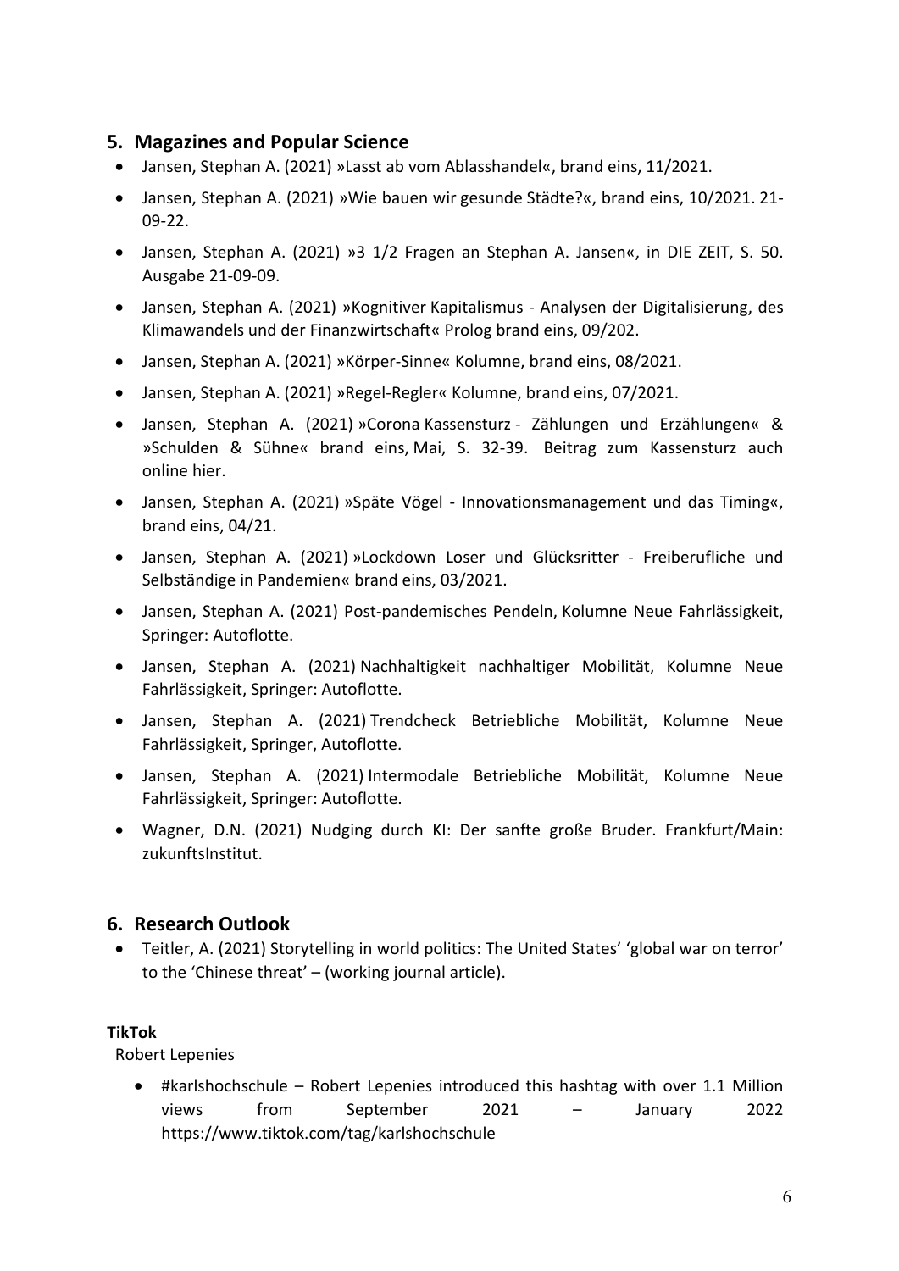## <span id="page-5-0"></span>**5. Magazines and Popular Science**

- Jansen, Stephan A. (2021) »Lasst ab vom Ablasshandel«, brand eins, 11/2021.
- Jansen, Stephan A. (2021) »Wie bauen wir gesunde Städte?«, brand eins, 10/2021. 21- 09-22.
- Jansen, Stephan A. (2021) »3 1/2 Fragen an Stephan A. Jansen«, in DIE ZEIT, S. 50. Ausgabe 21-09-09.
- Jansen, Stephan A. (2021) »Kognitiver Kapitalismus Analysen der Digitalisierung, des Klimawandels und der Finanzwirtschaft« Prolog brand eins, 09/202.
- Jansen, Stephan A. (2021) »Körper-Sinne« Kolumne, brand eins, 08/2021.
- Jansen, Stephan A. (2021) »Regel-Regler« Kolumne, brand eins, 07/2021.
- Jansen, Stephan A. (2021) »Corona Kassensturz Zählungen und Erzählungen« & »Schulden & Sühne« brand eins, Mai, S. 32-39. Beitrag zum Kassensturz auch online [hier.](https://www.brandeins.de/magazine/brand-eins-wirtschaftsmagazin/2021/kassensturz/stuerze-und-umstuerze)
- Jansen, Stephan A. (2021) »Späte Vögel Innovationsmanagement und das Timing«, brand eins, 04/21.
- Jansen, Stephan A. (2021) »Lockdown Loser und Glücksritter Freiberufliche und Selbständige in Pandemien« brand eins, 03/2021.
- Jansen, Stephan A. (2021) Post-pandemisches Pendeln, Kolumne Neue Fahrlässigkeit, Springer: Autoflotte.
- Jansen, Stephan A. (2021) Nachhaltigkeit nachhaltiger Mobilität, Kolumne Neue Fahrlässigkeit, Springer: Autoflotte.
- Jansen, Stephan A. (2021) Trendcheck Betriebliche Mobilität, Kolumne Neue Fahrlässigkeit, Springer, Autoflotte.
- Jansen, Stephan A. (2021) Intermodale Betriebliche Mobilität, Kolumne Neue Fahrlässigkeit, Springer: Autoflotte.
- Wagner, D.N. (2021) Nudging durch KI: Der sanfte große Bruder. Frankfurt/Main: zukunftsInstitut.

#### <span id="page-5-1"></span>**6. Research Outlook**

• Teitler, A. (2021) Storytelling in world politics: The United States' 'global war on terror' to the 'Chinese threat' – (working journal article).

#### **TikTok**

Robert Lepenies

• #karlshochschule – Robert Lepenies introduced this hashtag with over 1.1 Million views from September 2021 – January 2022 <https://www.tiktok.com/tag/karlshochschule>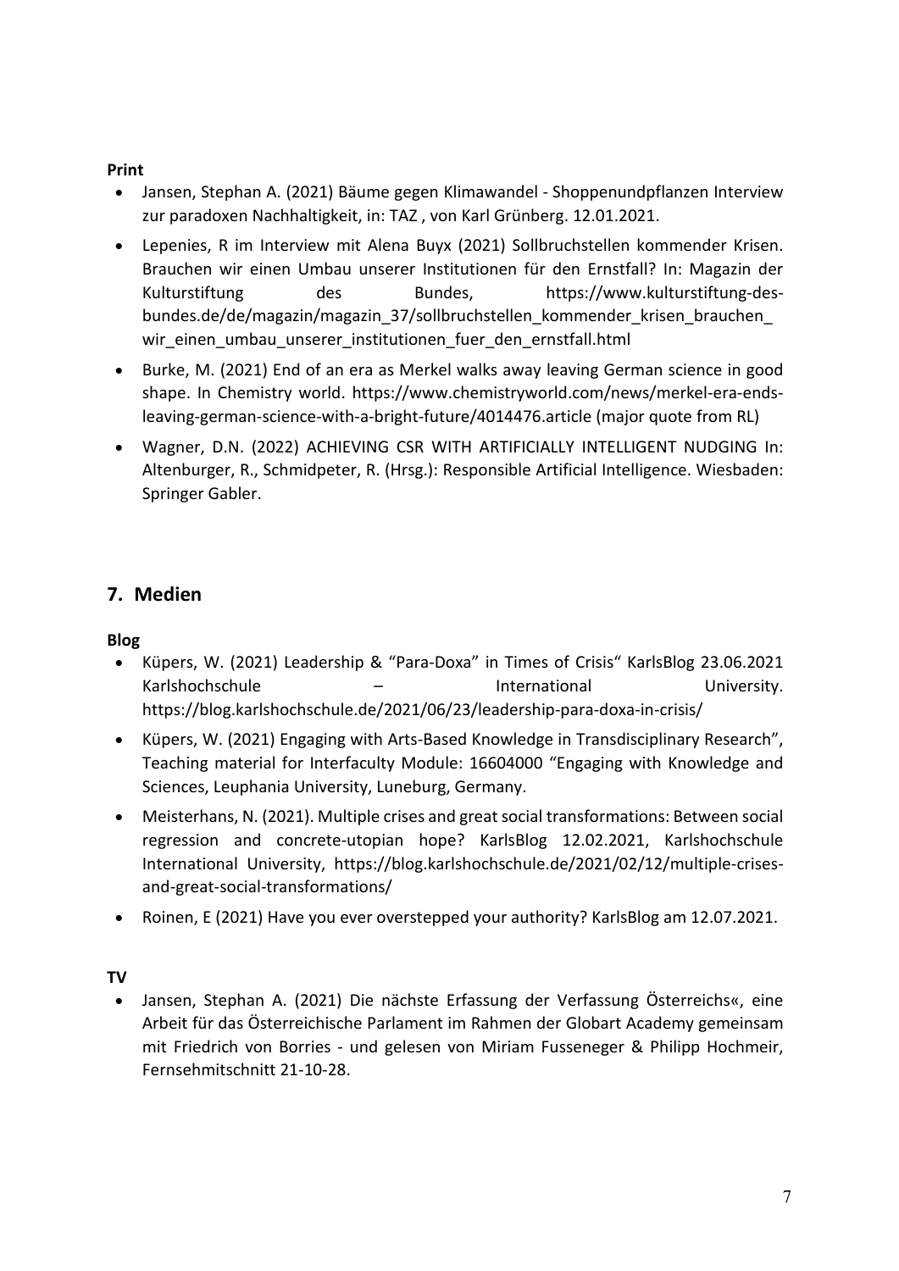### **Print**

- Jansen, Stephan A. (2021) Bäume gegen Klimawandel Shoppenundpflanzen Interview zur paradoxen Nachhaltigkeit, in: [TAZ](https://taz.de/Baeume-gegen-den-Klimawandel/!5738677/) , von Karl Grünberg. 12.01.2021.
- Lepenies, R im Interview mit Alena Buyx (2021) Sollbruchstellen kommender Krisen. Brauchen wir einen Umbau unserer Institutionen für den Ernstfall? In: Magazin der Kulturstiftung des Bundes, [https://www.kulturstiftung-des](https://www.kulturstiftung-des-bundes.de/de/magazin/magazin_37/sollbruchstellen_kommender_krisen_brauchen_wir_einen_umbau_unserer_institutionen_fuer_den_ernstfall.html)[bundes.de/de/magazin/magazin\\_37/sollbruchstellen\\_kommender\\_krisen\\_brauchen\\_](https://www.kulturstiftung-des-bundes.de/de/magazin/magazin_37/sollbruchstellen_kommender_krisen_brauchen_wir_einen_umbau_unserer_institutionen_fuer_den_ernstfall.html) wir einen umbau unserer institutionen fuer den ernstfall.html
- Burke, M. (2021) End of an era as Merkel walks away leaving German science in good shape. In Chemistry world. [https://www.chemistryworld.com/news/merkel-era-ends](https://www.chemistryworld.com/news/merkel-era-ends-leaving-german-science-with-a-bright-future/4014476.article)[leaving-german-science-with-a-bright-future/4014476.article](https://www.chemistryworld.com/news/merkel-era-ends-leaving-german-science-with-a-bright-future/4014476.article) (major quote from RL)
- Wagner, D.N. (2022) ACHIEVING CSR WITH ARTIFICIALLY INTELLIGENT NUDGING In: Altenburger, R., Schmidpeter, R. (Hrsg.): Responsible Artificial Intelligence. Wiesbaden: Springer Gabler.

# <span id="page-6-0"></span>**7. Medien**

# **Blog**

- Küpers, W. (2021) [Leadership & "Para-Doxa" in Times of Crisis"](https://blog.karlshochschule.de/2021/06/23/leadership-para-doxa-in-crisis/) KarlsBlog 23.06.2021 Karlshochschule – International University. <https://blog.karlshochschule.de/2021/06/23/leadership-para-doxa-in-crisis/>
- Küpers, W. (2021) Engaging with Arts-Based Knowledge in Transdisciplinary Research", Teaching material for Interfaculty Module: 16604000 "Engaging with Knowledge and Sciences, Leuphania University, Luneburg, Germany.
- Meisterhans, N. (2021). Multiple crises and great social transformations: Between social regression and concrete-utopian hope? KarlsBlog 12.02.2021, Karlshochschule International University, [https://blog.karlshochschule.de/2021/02/12/multiple-crises](https://blog.karlshochschule.de/2021/02/12/multiple-crises-and-great-social-transformations/)[and-great-social-transformations/](https://blog.karlshochschule.de/2021/02/12/multiple-crises-and-great-social-transformations/)
- Roinen, E (2021) Have you ever overstepped your authority? KarlsBlog am 12.07.2021.

## **TV**

• Jansen, Stephan A. (2021) Die nächste Erfassung der Verfassung Österreichs«, eine Arbeit für das Österreichische Parlament im Rahmen der Globart Academy gemeinsam mit Friedrich von Borries - und gelesen von Miriam Fusseneger & Philipp Hochmeir, [Fernsehmitschnitt](https://www.stephanjansen.org/app/s1bcd472986d5e9b7/%20https:/www.okto.tv/de/oktothek/episode/618518b71dd9a) 21-10-28.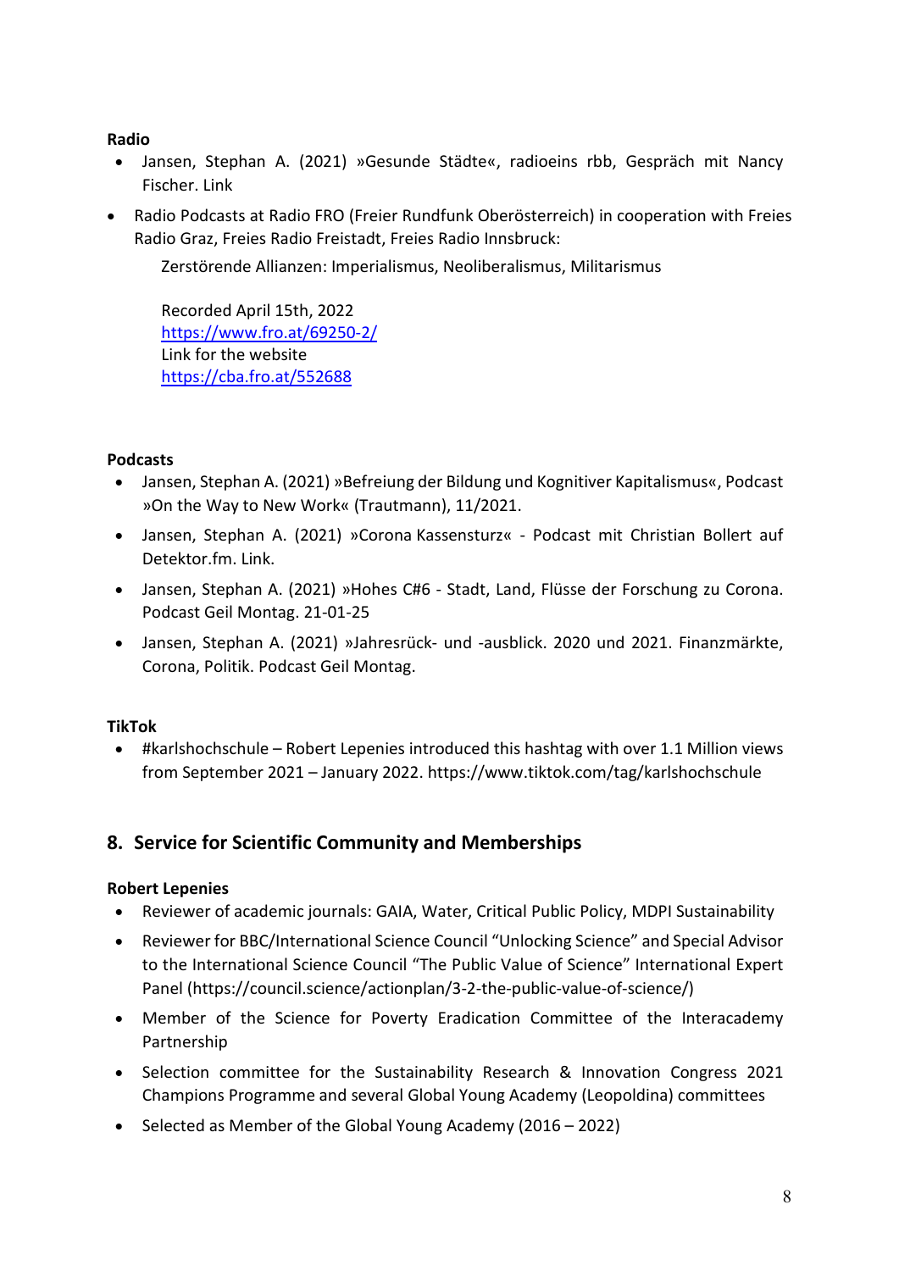#### **Radio**

- Jansen, Stephan A. (2021) »Gesunde Städte«, radioeins rbb, Gespräch mit Nancy Fischer. [Link](https://www.radioeins.de/programm/sendungen/mofr1013/_/wie-wir-in-berlin-leben-wollen.html)
- Radio Podcasts at Radio FRO (Freier Rundfunk Oberösterreich) in cooperation with Freies Radio Graz, Freies Radio Freistadt, Freies Radio Innsbruck:

Zerstörende Allianzen: Imperialismus, Neoliberalismus, Militarismus

Recorded April 15th, 2022 <https://www.fro.at/69250-2/> Link for the website <https://cba.fro.at/552688>

#### **Podcasts**

- Jansen, Stephan A. (2021) »Befreiung der Bildung und Kognitiver Kapitalismus«, Podcast »On the Way to New Work« (Trautmann), 11/2021.
- Jansen, Stephan A. (2021) »Corona Kassensturz« Podcast mit Christian Bollert auf Detektor.fm. [Link.](https://detektor.fm/wirtschaft/brand-eins-podcast-stephan-jansen-corona-kassensturz)
- Jansen, Stephan A. (2021) »Hohes C#6 Stadt, Land, Flüsse der Forschung zu Corona. Podcast [Geil Montag.](https://soundcloud.com/geilmontag/corona-spezial-6) 21-01-25
- Jansen, Stephan A. (2021) »Jahresrück- und -ausblick. 2020 und 2021. Finanzmärkte, Corona, Politik. Podcast [Geil Montag.](https://soundcloud.com/geilmontag/stephan-jansen-resume-2020)

#### **TikTok**

• #karlshochschule – Robert Lepenies introduced this hashtag with over 1.1 Million views from September 2021 – January 2022. https://www.tiktok.com/tag/karlshochschule

## <span id="page-7-0"></span>**8. Service for Scientific Community and Memberships**

#### **Robert Lepenies**

- Reviewer of academic journals: GAIA, Water, Critical Public Policy, MDPI Sustainability
- Reviewer for BBC/International Science Council "Unlocking Science" and Special Advisor to the International Science Council "The Public Value of Science" International Expert Panel (https://council.science/actionplan/3-2-the-public-value-of-science/)
- Member of the Science for Poverty Eradication Committee of the Interacademy Partnership
- Selection committee for the Sustainability Research & Innovation Congress 2021 Champions Programme and several Global Young Academy (Leopoldina) committees
- Selected as Member of the Global Young Academy (2016 2022)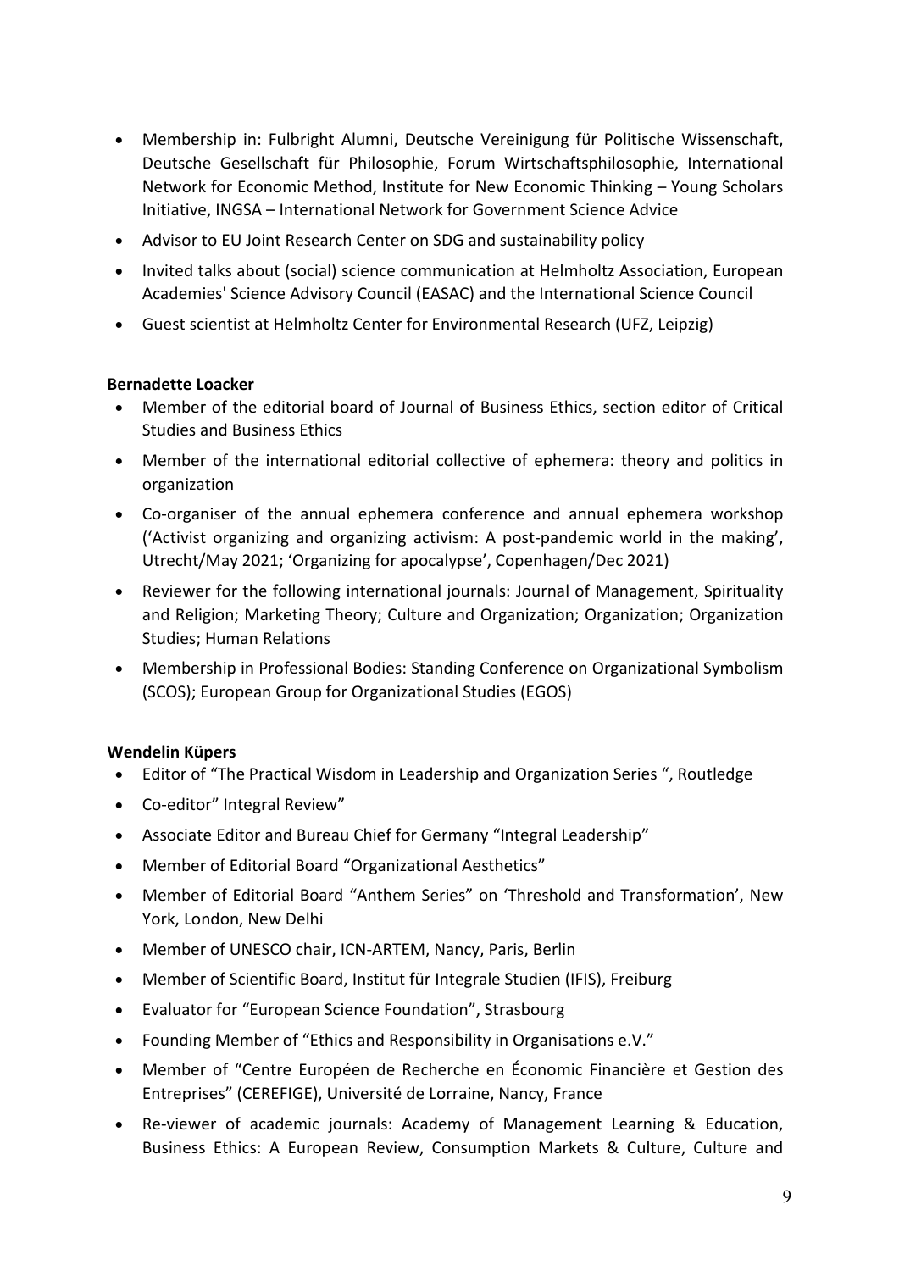- Membership in: Fulbright Alumni, Deutsche Vereinigung für Politische Wissenschaft, Deutsche Gesellschaft für Philosophie, Forum Wirtschaftsphilosophie, International Network for Economic Method, Institute for New Economic Thinking – Young Scholars Initiative, INGSA – International Network for Government Science Advice
- Advisor to EU Joint Research Center on SDG and sustainability policy
- Invited talks about (social) science communication at Helmholtz Association, European Academies' Science Advisory Council (EASAC) and the International Science Council
- Guest scientist at Helmholtz Center for Environmental Research (UFZ, Leipzig)

#### **Bernadette Loacker**

- Member of the editorial board of Journal of Business Ethics, section editor of Critical Studies and Business Ethics
- Member of the international editorial collective of ephemera: theory and politics in organization
- Co-organiser of the annual ephemera conference and annual ephemera workshop ('Activist organizing and organizing activism: A post-pandemic world in the making', Utrecht/May 2021; 'Organizing for apocalypse', Copenhagen/Dec 2021)
- Reviewer for the following international journals: Journal of Management, Spirituality and Religion; Marketing Theory; Culture and Organization; Organization; Organization Studies; Human Relations
- Membership in Professional Bodies: Standing Conference on Organizational Symbolism (SCOS); European Group for Organizational Studies (EGOS)

#### **Wendelin Küpers**

- Editor of ["The Practical Wisdom in Leadership and Organization Series](http://www.ashgate.com/default.aspx?page=1752&seriestitleID=622&calcTitle=1&forthcoming=1) ", Routledge
- Co-editor" [Integral Review"](http://integral-review.org/editors/editorialboard.asp)
- Associate Editor and Bureau Chief for Germany ["Integral Leadership"](http://integralleadershipreview.com/1447-bureau-chief-germany-3/)
- Member of Editorial Board ["Organizational Aesthetics"](http://digitalcommons.wpi.edu/oa/)
- Member of Editorial Board "Anthem Series" on 'Threshold and Transformation', New York, London, New Delhi
- Member of UNESCO chair, ICN-ARTEM, Nancy, Paris, Berlin
- Member of Scientific Board, Institut [für Integrale Studien \(IFIS\),](http://www.ifis-freiburg.de/de/home) Freiburg
- Evaluator for "European Science Foundation", Strasbourg
- Founding Member of ["Ethics and Responsibility in Organisations e.V."](http://ethik-verantwortung-arbeit.de/)
- Member of "Centre Européen de Recherche en Économic Financière et Gestion des Entreprises" (CEREFIGE), Université de Lorraine, Nancy, France
- Re-viewer of academic journals: Academy of Management Learning & Education, Business Ethics: A European Review, Consumption Markets & Culture, Culture and